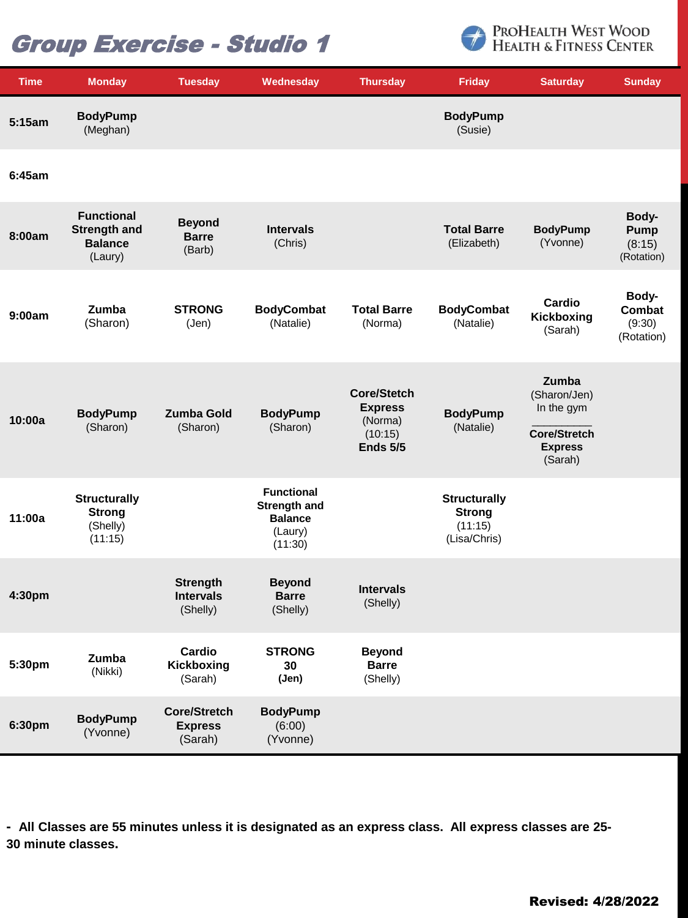# Group Exercise - Studio 1



| <b>Time</b> | <b>Monday</b>                                                         | <b>Tuesday</b>                                   | Wednesday                                                                        | <b>Thursday</b>                                                               | <b>Friday</b>                                                   | <b>Saturday</b>                                                                         | <b>Sunday</b>                                |
|-------------|-----------------------------------------------------------------------|--------------------------------------------------|----------------------------------------------------------------------------------|-------------------------------------------------------------------------------|-----------------------------------------------------------------|-----------------------------------------------------------------------------------------|----------------------------------------------|
| 5:15am      | <b>BodyPump</b><br>(Meghan)                                           |                                                  |                                                                                  |                                                                               | <b>BodyPump</b><br>(Susie)                                      |                                                                                         |                                              |
| 6:45am      |                                                                       |                                                  |                                                                                  |                                                                               |                                                                 |                                                                                         |                                              |
| 8:00am      | <b>Functional</b><br><b>Strength and</b><br><b>Balance</b><br>(Laury) | <b>Beyond</b><br><b>Barre</b><br>(Barb)          | <b>Intervals</b><br>(Chris)                                                      |                                                                               | <b>Total Barre</b><br>(Elizabeth)                               | <b>BodyPump</b><br>(Yvonne)                                                             | Body-<br><b>Pump</b><br>(8:15)<br>(Rotation) |
| 9:00am      | Zumba<br>(Sharon)                                                     | <b>STRONG</b><br>(Jen)                           | <b>BodyCombat</b><br>(Natalie)                                                   | <b>Total Barre</b><br>(Norma)                                                 | <b>BodyCombat</b><br>(Natalie)                                  | Cardio<br>Kickboxing<br>(Sarah)                                                         | Body-<br>Combat<br>(9:30)<br>(Rotation)      |
| 10:00a      | <b>BodyPump</b><br>(Sharon)                                           | <b>Zumba Gold</b><br>(Sharon)                    | <b>BodyPump</b><br>(Sharon)                                                      | <b>Core/Stetch</b><br><b>Express</b><br>(Norma)<br>(10:15)<br><b>Ends 5/5</b> | <b>BodyPump</b><br>(Natalie)                                    | Zumba<br>(Sharon/Jen)<br>In the gym<br><b>Core/Stretch</b><br><b>Express</b><br>(Sarah) |                                              |
| 11:00a      | <b>Structurally</b><br><b>Strong</b><br>(Shelly)<br>(11:15)           |                                                  | <b>Functional</b><br><b>Strength and</b><br><b>Balance</b><br>(Laury)<br>(11:30) |                                                                               | <b>Structurally</b><br><b>Strong</b><br>(11:15)<br>(Lisa/Chris) |                                                                                         |                                              |
| 4:30pm      |                                                                       | <b>Strength</b><br><b>Intervals</b><br>(Shelly)  | <b>Beyond</b><br><b>Barre</b><br>(Shelly)                                        | <b>Intervals</b><br>(Shelly)                                                  |                                                                 |                                                                                         |                                              |
| 5:30pm      | Zumba<br>(Nikki)                                                      | Cardio<br>Kickboxing<br>(Sarah)                  | <b>STRONG</b><br>30<br>(Jen)                                                     | <b>Beyond</b><br><b>Barre</b><br>(Shelly)                                     |                                                                 |                                                                                         |                                              |
| 6:30pm      | <b>BodyPump</b><br>(Yvonne)                                           | <b>Core/Stretch</b><br><b>Express</b><br>(Sarah) | <b>BodyPump</b><br>(6:00)<br>(Yvonne)                                            |                                                                               |                                                                 |                                                                                         |                                              |

**- All Classes are 55 minutes unless it is designated as an express class. All express classes are 25- 30 minute classes.**